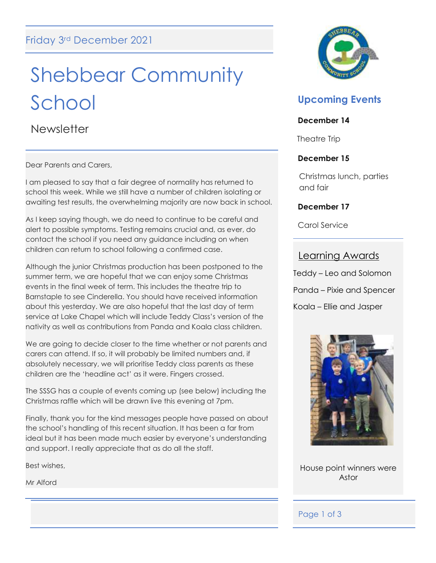# Shebbear Community School

**Newsletter** 

Dear Parents and Carers,

I am pleased to say that a fair degree of normality has returned to school this week. While we still have a number of children isolating or awaiting test results, the overwhelming majority are now back in school.

As I keep saying though, we do need to continue to be careful and alert to possible symptoms. Testing remains crucial and, as ever, do contact the school if you need any guidance including on when children can return to school following a confirmed case.

Although the junior Christmas production has been postponed to the summer term, we are hopeful that we can enjoy some Christmas events in the final week of term. This includes the theatre trip to Barnstaple to see Cinderella. You should have received information about this yesterday. We are also hopeful that the last day of term service at Lake Chapel which will include Teddy Class's version of the nativity as well as contributions from Panda and Koala class children.

We are going to decide closer to the time whether or not parents and carers can attend. If so, it will probably be limited numbers and, if absolutely necessary, we will prioritise Teddy class parents as these children are the 'headline act' as it were. Fingers crossed.

The SSSG has a couple of events coming up (see below) including the Christmas raffle which will be drawn live this evening at 7pm.

Finally, thank you for the kind messages people have passed on about the school's handling of this recent situation. It has been a far from ideal but it has been made much easier by everyone's understanding and support. I really appreciate that as do all the staff.

Best wishes,

Mr Alford



## **Upcoming Events**

### **December 14**

Theatre Trip

### **December 15**

Christmas lunch, parties and fair

### **December 17**

Carol Service

### Learning Awards

Teddy – Leo and Solomon Panda – Pixie and Spencer Koala – Ellie and Jasper



House point winners were Astor

### Page 1 of 3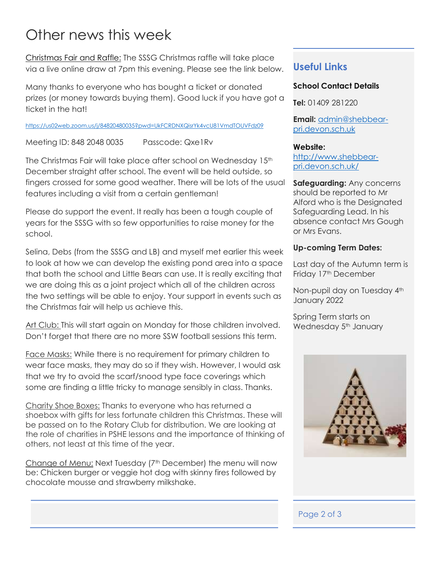# Other news this week

Christmas Fair and Raffle: The SSSG Christmas raffle will take place via a live online draw at 7pm this evening. Please see the link below.

Many thanks to everyone who has bought a ticket or donated prizes (or money towards buying them). Good luck if you have got a ticket in the hat!

<https://us02web.zoom.us/j/84820480035?pwd=UkFCRDNXQisrYk4vcU81VmdTOUVFdz09>

Meeting ID: 848 2048 0035 Passcode: Qxe1Rv

The Christmas Fair will take place after school on Wednesday 15<sup>th</sup> December straight after school. The event will be held outside, so fingers crossed for some good weather. There will be lots of the usual features including a visit from a certain gentleman!

Please do support the event. It really has been a tough couple of years for the SSSG with so few opportunities to raise money for the school.

Selina, Debs (from the SSSG and LB) and myself met earlier this week to look at how we can develop the existing pond area into a space that both the school and Little Bears can use. It is really exciting that we are doing this as a joint project which all of the children across the two settings will be able to enjoy. Your support in events such as the Christmas fair will help us achieve this.

Art Club: This will start again on Monday for those children involved. Don't forget that there are no more SSW football sessions this term.

Face Masks: While there is no requirement for primary children to wear face masks, they may do so if they wish. However, I would ask that we try to avoid the scarf/snood type face coverings which some are finding a little tricky to manage sensibly in class. Thanks.

Charity Shoe Boxes: Thanks to everyone who has returned a shoebox with gifts for less fortunate children this Christmas. These will be passed on to the Rotary Club for distribution. We are looking at the role of charities in PSHE lessons and the importance of thinking of others, not least at this time of the year.

Change of Menu: Next Tuesday (7<sup>th</sup> December) the menu will now be: Chicken burger or veggie hot dog with skinny fires followed by chocolate mousse and strawberry milkshake.

### **Useful Links**

### **School Contact Details**

**Tel:** 01409 281220

**Email:** [admin@shebbear](mailto:admin@shebbear-pri.devon.sch.uk)[pri.devon.sch.uk](mailto:admin@shebbear-pri.devon.sch.uk)

#### **Website:**

[http://www.shebbear](http://www.shebbear-pri.devon.sch.uk/)[pri.devon.sch.uk/](http://www.shebbear-pri.devon.sch.uk/)

**Safeguarding:** Any concerns should be reported to Mr Alford who is the Designated Safeguarding Lead. In his absence contact Mrs Gough or Mrs Evans.

### **Up-coming Term Dates:**

Last day of the Autumn term is Friday 17<sup>th</sup> December

Non-pupil day on Tuesday 4<sup>th</sup> January 2022

Spring Term starts on Wednesday 5<sup>th</sup> January



### Page 2 of 3